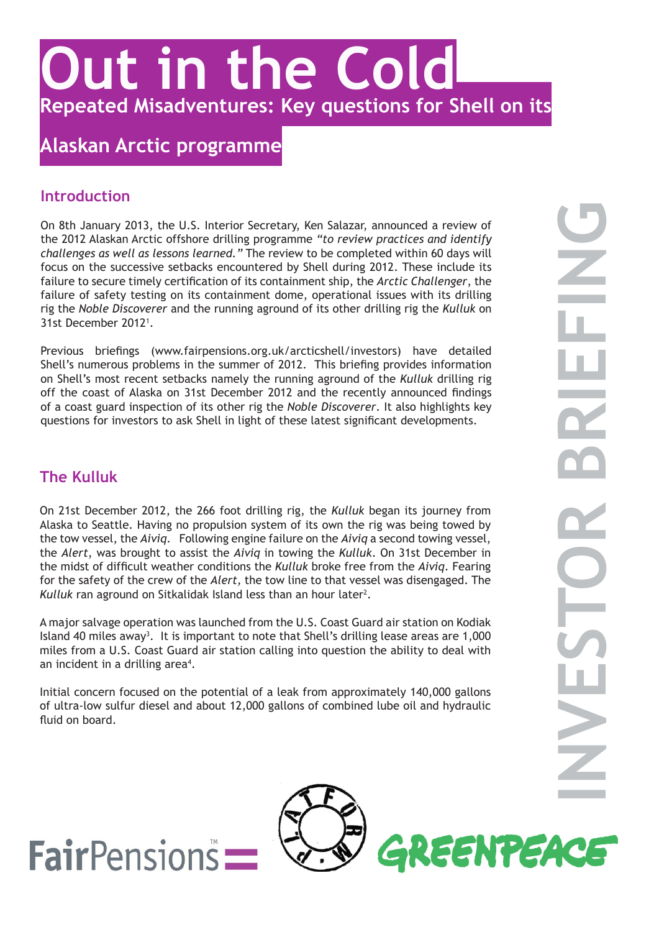

# **Alaskan Arctic programme**

#### **Introduction**

On 8th January 2013, the U.S. Interior Secretary, Ken Salazar, announced a review of the 2012 Alaskan Arctic offshore drilling programme *"to review practices and identify challenges as well as lessons learned."* The review to be completed within 60 days will focus on the successive setbacks encountered by Shell during 2012. These include its failure to secure timely certification of its containment ship, the *Arctic Challenger*, the failure of safety testing on its containment dome, operational issues with its drilling rig the *Noble Discoverer* and the running aground of its other drilling rig the *Kulluk* on 31st December 20121 .

Previous briefings (www.fairpensions.org.uk/arcticshell/investors) have detailed Shell's numerous problems in the summer of 2012. This briefing provides information on Shell's most recent setbacks namely the running aground of the *Kulluk* drilling rig off the coast of Alaska on 31st December 2012 and the recently announced findings of a coast guard inspection of its other rig the *Noble Discoverer*. It also highlights key questions for investors to ask Shell in light of these latest significant developments.

## **The Kulluk**

On 21st December 2012, the 266 foot drilling rig, the *Kulluk* began its journey from Alaska to Seattle. Having no propulsion system of its own the rig was being towed by the tow vessel, the *Aiviq*. Following engine failure on the *Aiviq* a second towing vessel, the *Alert*, was brought to assist the *Aiviq* in towing the *Kulluk*. On 31st December in the midst of difficult weather conditions the *Kulluk* broke free from the *Aiviq*. Fearing for the safety of the crew of the *Alert,* the tow line to that vessel was disengaged. The Kulluk ran aground on Sitkalidak Island less than an hour later<sup>2</sup>.

A major salvage operation was launched from the U.S. Coast Guard air station on Kodiak Island 40 miles away<sup>3</sup>. It is important to note that Shell's drilling lease areas are 1,000 miles from a U.S. Coast Guard air station calling into question the ability to deal with an incident in a drilling area<sup>4</sup>.

Initial concern focused on the potential of a leak from approximately 140,000 gallons of ultra-low sulfur diesel and about 12,000 gallons of combined lube oil and hydraulic fluid on board.

GREENTEACE

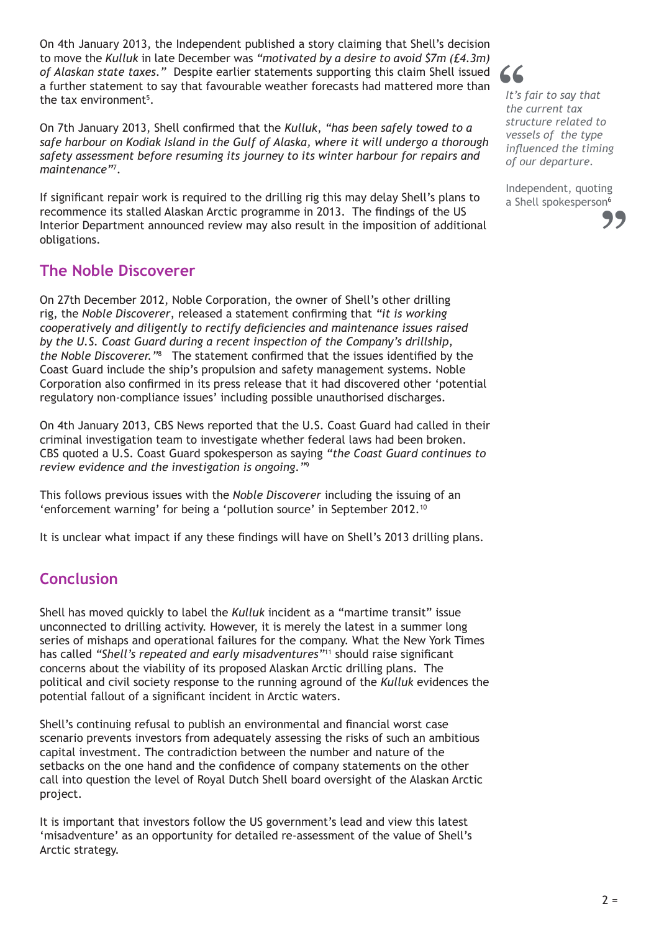On 4th January 2013, the Independent published a story claiming that Shell's decision to move the *Kulluk* in late December was *"motivated by a desire to avoid \$7m (£4.3m) of Alaskan state taxes."* Despite earlier statements supporting this claim Shell issued a further statement to say that favourable weather forecasts had mattered more than the tax environment<sup>5</sup>.

On 7th January 2013, Shell confirmed that the *Kulluk*, *"has been safely towed to a safe harbour on Kodiak Island in the Gulf of Alaska, where it will undergo a thorough safety assessment before resuming its journey to its winter harbour for repairs and maintenance"*<sup>7</sup> .

If significant repair work is required to the drilling rig this may delay Shell's plans to recommence its stalled Alaskan Arctic programme in 2013. The findings of the US Interior Department announced review may also result in the imposition of additional obligations.

#### **The Noble Discoverer**

On 27th December 2012, Noble Corporation, the owner of Shell's other drilling rig, the *Noble Discoverer*, released a statement confirming that *"it is working cooperatively and diligently to rectify deficiencies and maintenance issues raised by the U.S. Coast Guard during a recent inspection of the Company's drillship,*  the Noble Discoverer.<sup>"8</sup> The statement confirmed that the issues identified by the Coast Guard include the ship's propulsion and safety management systems. Noble Corporation also confirmed in its press release that it had discovered other 'potential regulatory non-compliance issues' including possible unauthorised discharges.

On 4th January 2013, CBS News reported that the U.S. Coast Guard had called in their criminal investigation team to investigate whether federal laws had been broken. CBS quoted a U.S. Coast Guard spokesperson as saying *"the Coast Guard continues to review evidence and the investigation is ongoing."*<sup>9</sup>

This follows previous issues with the *Noble Discoverer* including the issuing of an 'enforcement warning' for being a 'pollution source' in September 2012.10

It is unclear what impact if any these findings will have on Shell's 2013 drilling plans.

## **Conclusion**

Shell has moved quickly to label the *Kulluk* incident as a "martime transit" issue unconnected to drilling activity. However, it is merely the latest in a summer long series of mishaps and operational failures for the company. What the New York Times has called *"Shell's repeated and early misadventures"*11 should raise significant concerns about the viability of its proposed Alaskan Arctic drilling plans. The political and civil society response to the running aground of the *Kulluk* evidences the potential fallout of a significant incident in Arctic waters.

Shell's continuing refusal to publish an environmental and financial worst case scenario prevents investors from adequately assessing the risks of such an ambitious capital investment. The contradiction between the number and nature of the setbacks on the one hand and the confidence of company statements on the other call into question the level of Royal Dutch Shell board oversight of the Alaskan Arctic project.

It is important that investors follow the US government's lead and view this latest 'misadventure' as an opportunity for detailed re-assessment of the value of Shell's Arctic strategy.

**"**

*It's fair to say that the current tax structure related to vessels of the type influenced the timing of our departure.*

Independent, quoting a Shell spokesperson<sup>6</sup>

**"**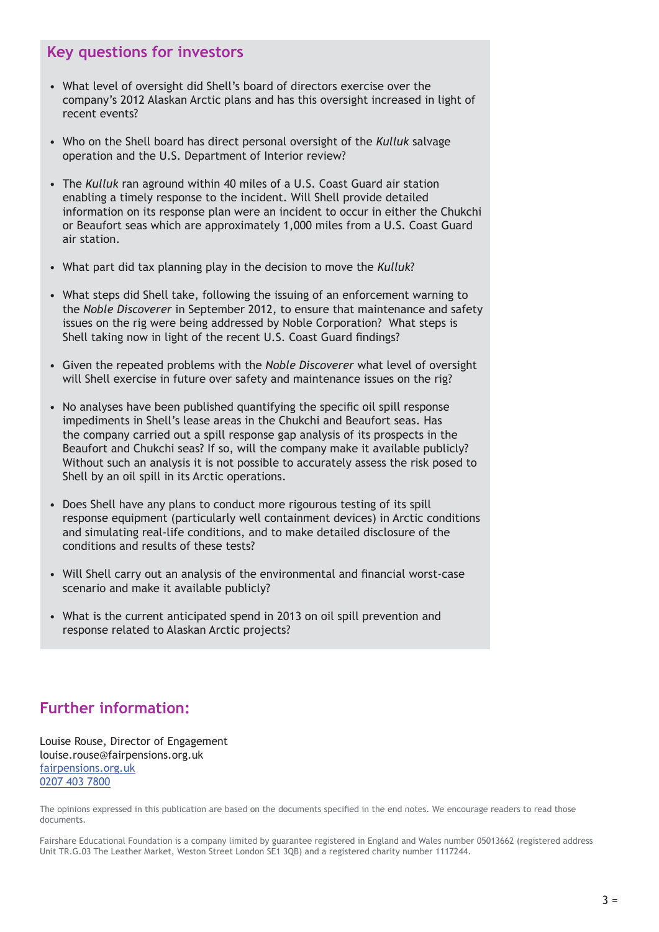#### **Key questions for investors**

- What level of oversight did Shell's board of directors exercise over the company's 2012 Alaskan Arctic plans and has this oversight increased in light of recent events?
- Who on the Shell board has direct personal oversight of the *Kulluk* salvage operation and the U.S. Department of Interior review?
- The *Kulluk* ran aground within 40 miles of a U.S. Coast Guard air station enabling a timely response to the incident. Will Shell provide detailed information on its response plan were an incident to occur in either the Chukchi or Beaufort seas which are approximately 1,000 miles from a U.S. Coast Guard air station.
- What part did tax planning play in the decision to move the *Kulluk*?
- What steps did Shell take, following the issuing of an enforcement warning to the *Noble Discoverer* in September 2012, to ensure that maintenance and safety issues on the rig were being addressed by Noble Corporation? What steps is Shell taking now in light of the recent U.S. Coast Guard findings?
- Given the repeated problems with the *Noble Discoverer* what level of oversight will Shell exercise in future over safety and maintenance issues on the rig?
- No analyses have been published quantifying the specific oil spill response impediments in Shell's lease areas in the Chukchi and Beaufort seas. Has the company carried out a spill response gap analysis of its prospects in the Beaufort and Chukchi seas? If so, will the company make it available publicly? Without such an analysis it is not possible to accurately assess the risk posed to Shell by an oil spill in its Arctic operations.
- Does Shell have any plans to conduct more rigourous testing of its spill response equipment (particularly well containment devices) in Arctic conditions and simulating real-life conditions, and to make detailed disclosure of the conditions and results of these tests?
- Will Shell carry out an analysis of the environmental and financial worst-case scenario and make it available publicly?
- What is the current anticipated spend in 2013 on oil spill prevention and response related to Alaskan Arctic projects?

## **Further information:**

Louise Rouse, Director of Engagement louise.rouse@fairpensions.org.uk fairpensions.org.uk 0207 403 7800

The opinions expressed in this publication are based on the documents specified in the end notes. We encourage readers to read those documents.

Fairshare Educational Foundation is a company limited by guarantee registered in England and Wales number 05013662 (registered address Unit TR.G.03 The Leather Market, Weston Street London SE1 3QB) and a registered charity number 1117244.